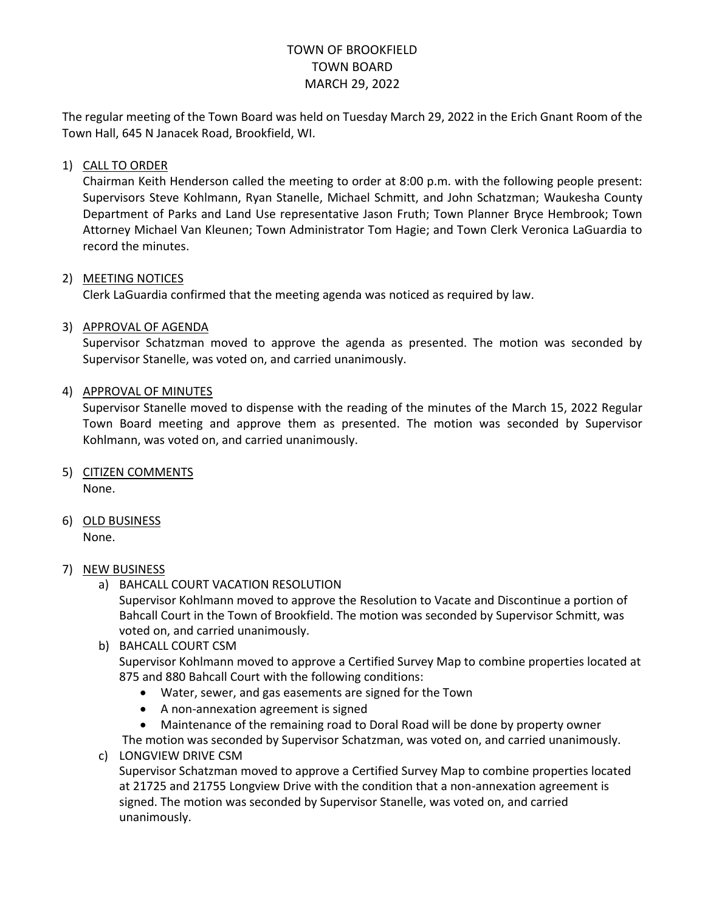# TOWN OF BROOKFIELD TOWN BOARD MARCH 29, 2022

The regular meeting of the Town Board was held on Tuesday March 29, 2022 in the Erich Gnant Room of the Town Hall, 645 N Janacek Road, Brookfield, WI.

### 1) CALL TO ORDER

Chairman Keith Henderson called the meeting to order at 8:00 p.m. with the following people present: Supervisors Steve Kohlmann, Ryan Stanelle, Michael Schmitt, and John Schatzman; Waukesha County Department of Parks and Land Use representative Jason Fruth; Town Planner Bryce Hembrook; Town Attorney Michael Van Kleunen; Town Administrator Tom Hagie; and Town Clerk Veronica LaGuardia to record the minutes.

#### 2) MEETING NOTICES

Clerk LaGuardia confirmed that the meeting agenda was noticed as required by law.

#### 3) APPROVAL OF AGENDA

Supervisor Schatzman moved to approve the agenda as presented. The motion was seconded by Supervisor Stanelle, was voted on, and carried unanimously.

#### 4) APPROVAL OF MINUTES

Supervisor Stanelle moved to dispense with the reading of the minutes of the March 15, 2022 Regular Town Board meeting and approve them as presented. The motion was seconded by Supervisor Kohlmann, was voted on, and carried unanimously.

- 5) CITIZEN COMMENTS None.
- 6) OLD BUSINESS None.
- 7) NEW BUSINESS
	- a) BAHCALL COURT VACATION RESOLUTION

Supervisor Kohlmann moved to approve the Resolution to Vacate and Discontinue a portion of Bahcall Court in the Town of Brookfield. The motion was seconded by Supervisor Schmitt, was voted on, and carried unanimously.

b) BAHCALL COURT CSM

Supervisor Kohlmann moved to approve a Certified Survey Map to combine properties located at 875 and 880 Bahcall Court with the following conditions:

- Water, sewer, and gas easements are signed for the Town
- A non-annexation agreement is signed
- Maintenance of the remaining road to Doral Road will be done by property owner

The motion was seconded by Supervisor Schatzman, was voted on, and carried unanimously. c) LONGVIEW DRIVE CSM

Supervisor Schatzman moved to approve a Certified Survey Map to combine properties located at 21725 and 21755 Longview Drive with the condition that a non-annexation agreement is signed. The motion was seconded by Supervisor Stanelle, was voted on, and carried unanimously.